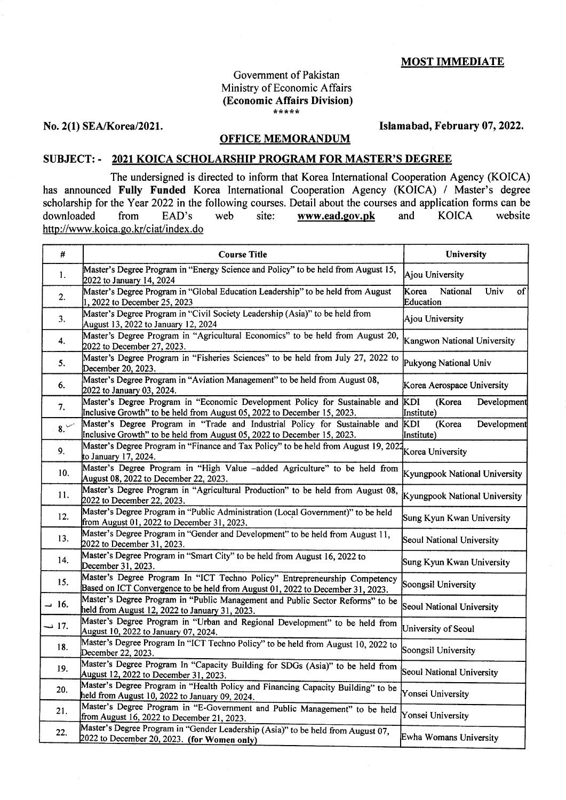### MOST IMMEDIATE

# Government of Pakistan Ministry of Economic Affairs (Economic Affairs Division)

No. 2(1) SEA/Korea/2021. Islamabad, February 07, 2022.

#### OFFICE MEMORANDUM

#### SUBJECT: - 2021 KOICA SCHOLARSHIP PROGRAM FOR MASTER'S DEGREE

The undersigned is directed to inform that Korea International Cooperation Agency (KOICA) has announced Fully Funded Korea International Cooperation Agency (KOICA) / Master's degree scholarship for the Year 2022 in the following courses. Detail about the courses and application forms can be<br>downloaded from EAD's web site: www.ead.gov.pk and KOICA website www.ead.gov.pk http://www.koica.go.kr/ciat/index.do

| #                 | <b>Course Title</b>                                                                                                                                                                                | University                                   |
|-------------------|----------------------------------------------------------------------------------------------------------------------------------------------------------------------------------------------------|----------------------------------------------|
| 1.                | Master's Degree Program in "Energy Science and Policy" to be held from August 15,<br>2022 to January 14, 2024                                                                                      | <b>Ajou University</b>                       |
| 2.                | Master's Degree Program in "Global Education Leadership" to be held from August<br>, 2022 to December 25, 2023                                                                                     | Korea<br>National<br>Univ<br>of<br>Education |
| 3.                | Master's Degree Program in "Civil Society Leadership (Asia)" to be held from<br>August 13, 2022 to January 12, 2024                                                                                | Ajou University                              |
| 4.                | Master's Degree Program in "Agricultural Economics" to be held from August 20,<br>2022 to December 27, 2023.                                                                                       | Kangwon National University                  |
| 5.                | Master's Degree Program in "Fisheries Sciences" to be held from July 27, 2022 to<br>December 20, 2023.                                                                                             | Pukyong National Univ                        |
| 6.                | Master's Degree Program in "Aviation Management" to be held from August 08,<br>2022 to January 03, 2024.                                                                                           | Korea Aerospace University                   |
| 7.                | Master's Degree Program in "Economic Development Policy for Sustainable and<br>Inclusive Growth" to be held from August 05, 2022 to December 15, 2023.                                             | KDI<br>(Korea<br>Development<br>Institute)   |
| 8.                | Master's Degree Program in "Trade and Industrial Policy for Sustainable and<br>Inclusive Growth" to be held from August 05, 2022 to December 15, 2023.                                             | (Korea<br>Development<br>KDI<br>Institute)   |
| 9.                | Master's Degree Program in "Finance and Tax Policy" to be held from August 19, 2021<br>Master's Degree Program in "Finance and Tax Policy" to be held from August 19, 2021<br>to January 17, 2024. |                                              |
| 10.               | Master's Degree Program in "High Value -added Agriculture" to be held from<br>August 08, 2022 to December 22, 2023.                                                                                | Kyungpook National University                |
| 11.               | Master's Degree Program in "Agricultural Production" to be held from August 08,<br>2022 to December 22, 2023.                                                                                      | Kyungpook National University                |
| 12.               | Master's Degree Program in "Public Administration (Local Government)" to be held<br>from August 01, 2022 to December 31, 2023.                                                                     | Sung Kyun Kwan University                    |
| 13.               | Master's Degree Program in "Gender and Development" to be held from August 11,<br>2022 to December 31, 2023.                                                                                       | Seoul National University                    |
| 14.               | Master's Degree Program in "Smart City" to be held from August 16, 2022 to<br>December 31, 2023.                                                                                                   | Sung Kyun Kwan University                    |
| 15.               | Master's Degree Program In "ICT Techno Policy" Entrepreneurship Competency<br>Based on ICT Convergence to be held from August 01, 2022 to December 31, 2023.                                       | Soongsil University                          |
| .16 ب             | Master's Degree Program in "Public Management and Public Sector Reforms" to be<br>held from August 12, 2022 to January 31, 2023.                                                                   | Seoul National University                    |
| $\rightarrow$ 17. | Master's Degree Program in "Urban and Regional Development" to be held from<br>August 10, 2022 to January 07, 2024.                                                                                | University of Seoul                          |
| 18.               | Master's Degree Program In "ICT Techno Policy" to be held from August 10, 2022 to<br>December 22, 2023.                                                                                            | Soongsil University                          |
| 19.               | Master's Degree Program In "Capacity Building for SDGs (Asia)" to be held from<br>August 12, 2022 to December 31, 2023.                                                                            | Seoul National University                    |
| 20.               | Master's Degree Program in "Health Policy and Financing Capacity Building" to be<br>held from August 10, 2022 to January 09, 2024.                                                                 | Yonsei University                            |
| 21.               | Master's Degree Program in "E-Government and Public Management" to be held<br>from August 16, 2022 to December 21, 2023.                                                                           | Yonsei University                            |
| 22.               | Master's Degree Program in "Gender Leadership (Asia)" to be held from August 07,<br>2022 to December 20, 2023. (for Women only)                                                                    | Ewha Womans University                       |